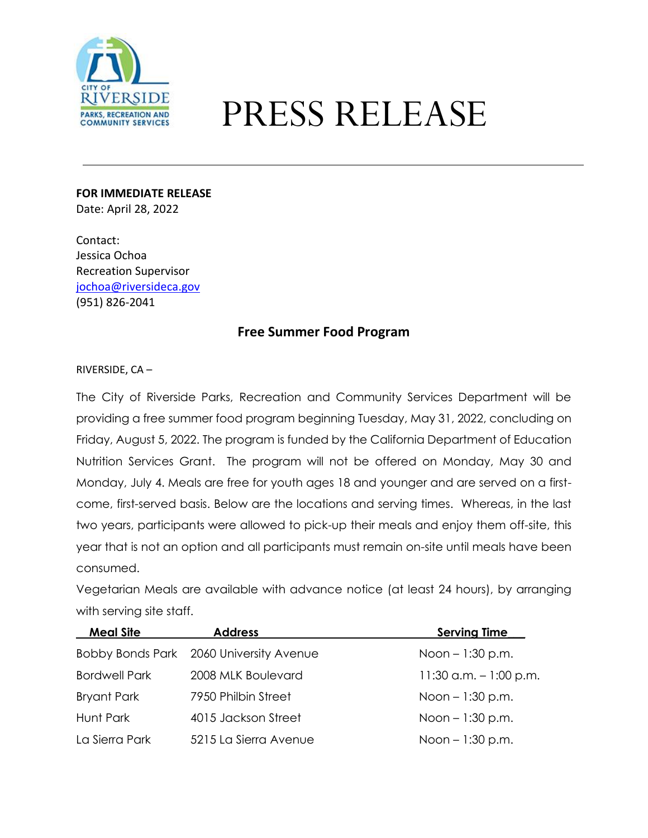

## PRESS RELEASE

**FOR IMMEDIATE RELEASE** Date: April 28, 2022

Contact: Jessica Ochoa Recreation Supervisor [jochoa@riversideca.gov](mailto:jochoa@riversideca.gov) (951) 826-2041

## **Free Summer Food Program**

## RIVERSIDE, CA –

The City of Riverside Parks, Recreation and Community Services Department will be providing a free summer food program beginning Tuesday, May 31, 2022, concluding on Friday, August 5, 2022. The program is funded by the California Department of Education Nutrition Services Grant. The program will not be offered on Monday, May 30 and Monday, July 4. Meals are free for youth ages 18 and younger and are served on a firstcome, first-served basis. Below are the locations and serving times. Whereas, in the last two years, participants were allowed to pick-up their meals and enjoy them off-site, this year that is not an option and all participants must remain on-site until meals have been consumed.

Vegetarian Meals are available with advance notice (at least 24 hours), by arranging with serving site staff.

| <b>Meal Site</b>     | <b>Address</b>                          | Serving Time            |
|----------------------|-----------------------------------------|-------------------------|
|                      | Bobby Bonds Park 2060 University Avenue | Noon $-1:30$ p.m.       |
| <b>Bordwell Park</b> | 2008 MLK Boulevard                      | 11:30 a.m. $-1:00$ p.m. |
| <b>Bryant Park</b>   | 7950 Philbin Street                     | Noon $-1:30$ p.m.       |
| Hunt Park            | 4015 Jackson Street                     | Noon $-1:30$ p.m.       |
| La Sierra Park       | 5215 La Sierra Avenue                   | Noon $-1:30$ p.m.       |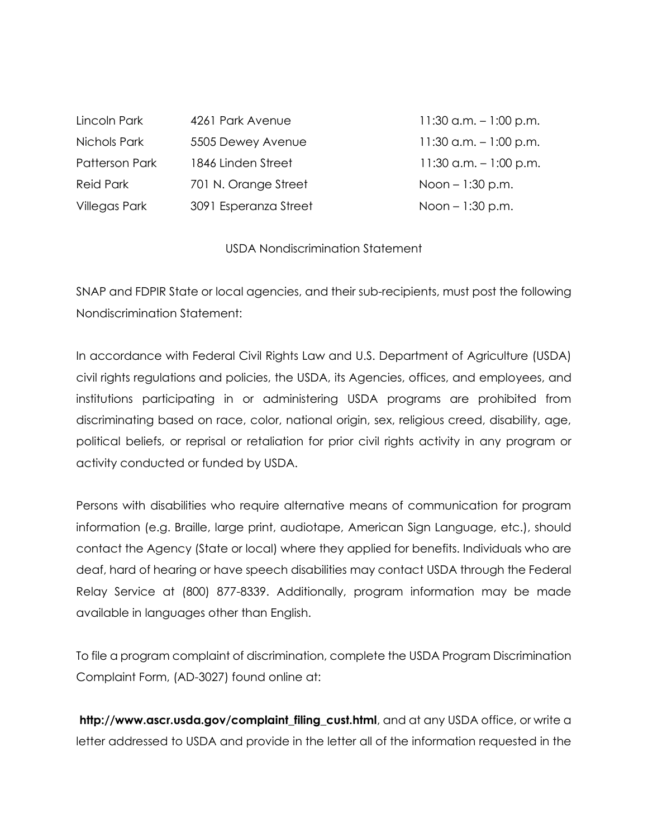| 4261 Park Avenue      | 11:30 a.m. $-1:00$ p.m.   |
|-----------------------|---------------------------|
| 5505 Dewey Avenue     | 11:30 a.m. $-1:00$ p.m.   |
| 1846 Linden Street    | $11:30$ a.m. $-1:00$ p.m. |
| 701 N. Orange Street  | Noon $-1:30$ p.m.         |
| 3091 Esperanza Street | Noon $-1:30$ p.m.         |
|                       |                           |

## USDA Nondiscrimination Statement

SNAP and FDPIR State or local agencies, and their sub-recipients, must post the following Nondiscrimination Statement:

In accordance with Federal Civil Rights Law and U.S. Department of Agriculture (USDA) civil rights regulations and policies, the USDA, its Agencies, offices, and employees, and institutions participating in or administering USDA programs are prohibited from discriminating based on race, color, national origin, sex, religious creed, disability, age, political beliefs, or reprisal or retaliation for prior civil rights activity in any program or activity conducted or funded by USDA.

Persons with disabilities who require alternative means of communication for program information (e.g. Braille, large print, audiotape, American Sign Language, etc.), should contact the Agency (State or local) where they applied for benefits. Individuals who are deaf, hard of hearing or have speech disabilities may contact USDA through the Federal Relay Service at (800) 877-8339. Additionally, program information may be made available in languages other than English.

To file a program complaint of discrimination, complete the USDA Program Discrimination Complaint Form, (AD-3027) found online at:

**http://www.ascr.usda.gov/complaint\_filing\_cust.html**, and at any USDA office, or write a letter addressed to USDA and provide in the letter all of the information requested in the